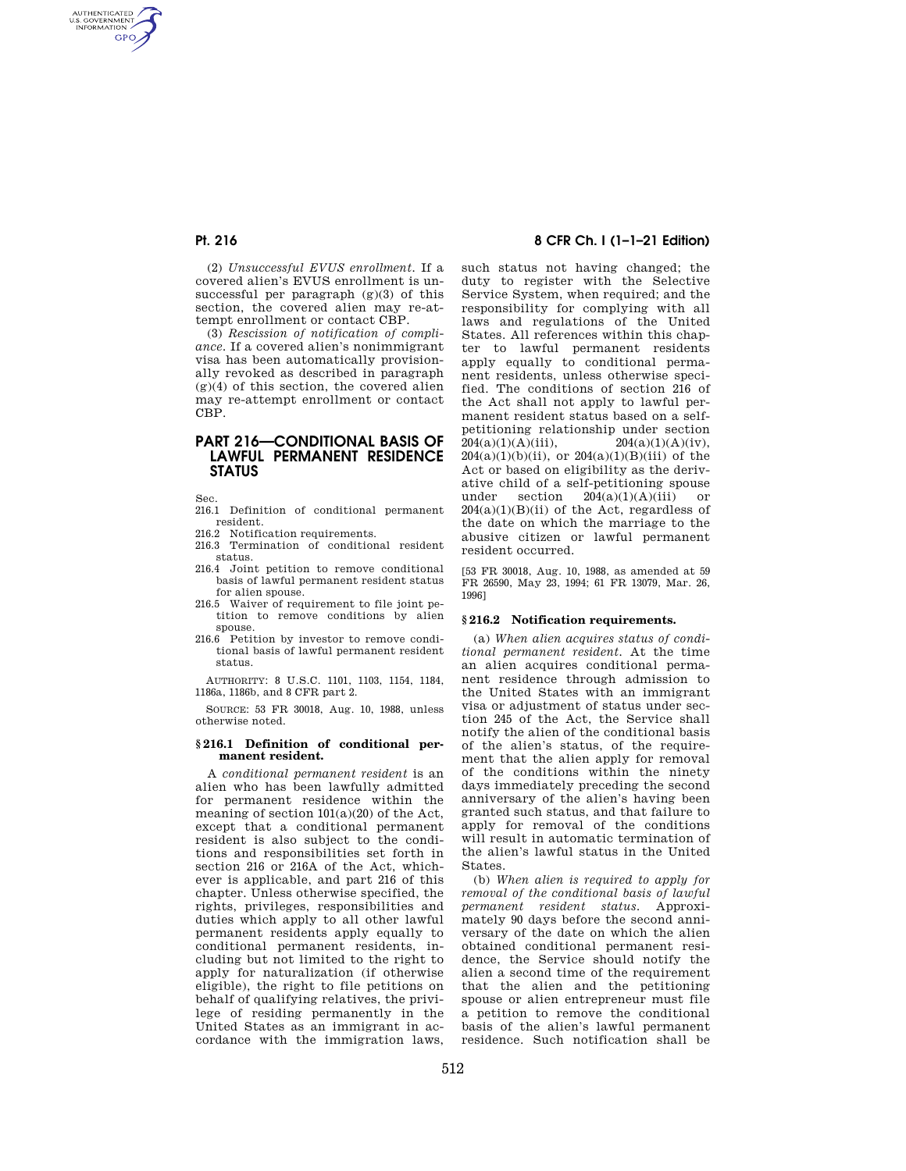AUTHENTICATED<br>U.S. GOVERNMENT<br>INFORMATION **GPO** 

> (2) *Unsuccessful EVUS enrollment.* If a covered alien's EVUS enrollment is unsuccessful per paragraph (g)(3) of this section, the covered alien may re-attempt enrollment or contact CBP.

> (3) *Rescission of notification of compliance.* If a covered alien's nonimmigrant visa has been automatically provisionally revoked as described in paragraph  $(g)(4)$  of this section, the covered alien may re-attempt enrollment or contact CBP.

# **PART 216—CONDITIONAL BASIS OF LAWFUL PERMANENT RESIDENCE STATUS**

Sec.

- 216.1 Definition of conditional permanent resident.
- 216.2 Notification requirements. 216.3 Termination of conditional resident
- status. 216.4 Joint petition to remove conditional basis of lawful permanent resident status for alien spouse.
- 216.5 Waiver of requirement to file joint petition to remove conditions by alien spouse.
- 216.6 Petition by investor to remove conditional basis of lawful permanent resident status.

AUTHORITY: 8 U.S.C. 1101, 1103, 1154, 1184, 1186a, 1186b, and 8 CFR part 2.

SOURCE: 53 FR 30018, Aug. 10, 1988, unless otherwise noted.

### **§ 216.1 Definition of conditional permanent resident.**

A *conditional permanent resident* is an alien who has been lawfully admitted for permanent residence within the meaning of section  $101(a)(20)$  of the Act, except that a conditional permanent resident is also subject to the conditions and responsibilities set forth in section 216 or 216A of the Act, whichever is applicable, and part 216 of this chapter. Unless otherwise specified, the rights, privileges, responsibilities and duties which apply to all other lawful permanent residents apply equally to conditional permanent residents, including but not limited to the right to apply for naturalization (if otherwise eligible), the right to file petitions on behalf of qualifying relatives, the privilege of residing permanently in the United States as an immigrant in accordance with the immigration laws,

# **Pt. 216 8 CFR Ch. I (1–1–21 Edition)**

such status not having changed; the duty to register with the Selective Service System, when required; and the responsibility for complying with all laws and regulations of the United States. All references within this chapter to lawful permanent residents apply equally to conditional permanent residents, unless otherwise specified. The conditions of section 216 of the Act shall not apply to lawful permanent resident status based on a selfpetitioning relationship under section  $204(a)(1)(A)(iii)$ ,  $204(a)(1)(A)(iv)$ ,  $204(a)(1)(b)(ii)$ , or  $204(a)(1)(B)(iii)$  of the Act or based on eligibility as the derivative child of a self-petitioning spouse under section  $204(a)(1)(A)(iii)$  or  $204(a)(1)(B)(ii)$  of the Act, regardless of the date on which the marriage to the abusive citizen or lawful permanent resident occurred.

[53 FR 30018, Aug. 10, 1988, as amended at 59 FR 26590, May 23, 1994; 61 FR 13079, Mar. 26, 1996]

### **§ 216.2 Notification requirements.**

(a) *When alien acquires status of conditional permanent resident.* At the time an alien acquires conditional permanent residence through admission to the United States with an immigrant visa or adjustment of status under section 245 of the Act, the Service shall notify the alien of the conditional basis of the alien's status, of the requirement that the alien apply for removal of the conditions within the ninety days immediately preceding the second anniversary of the alien's having been granted such status, and that failure to apply for removal of the conditions will result in automatic termination of the alien's lawful status in the United States.

(b) *When alien is required to apply for removal of the conditional basis of lawful permanent resident status.* Approximately 90 days before the second anniversary of the date on which the alien obtained conditional permanent residence, the Service should notify the alien a second time of the requirement that the alien and the petitioning spouse or alien entrepreneur must file a petition to remove the conditional basis of the alien's lawful permanent residence. Such notification shall be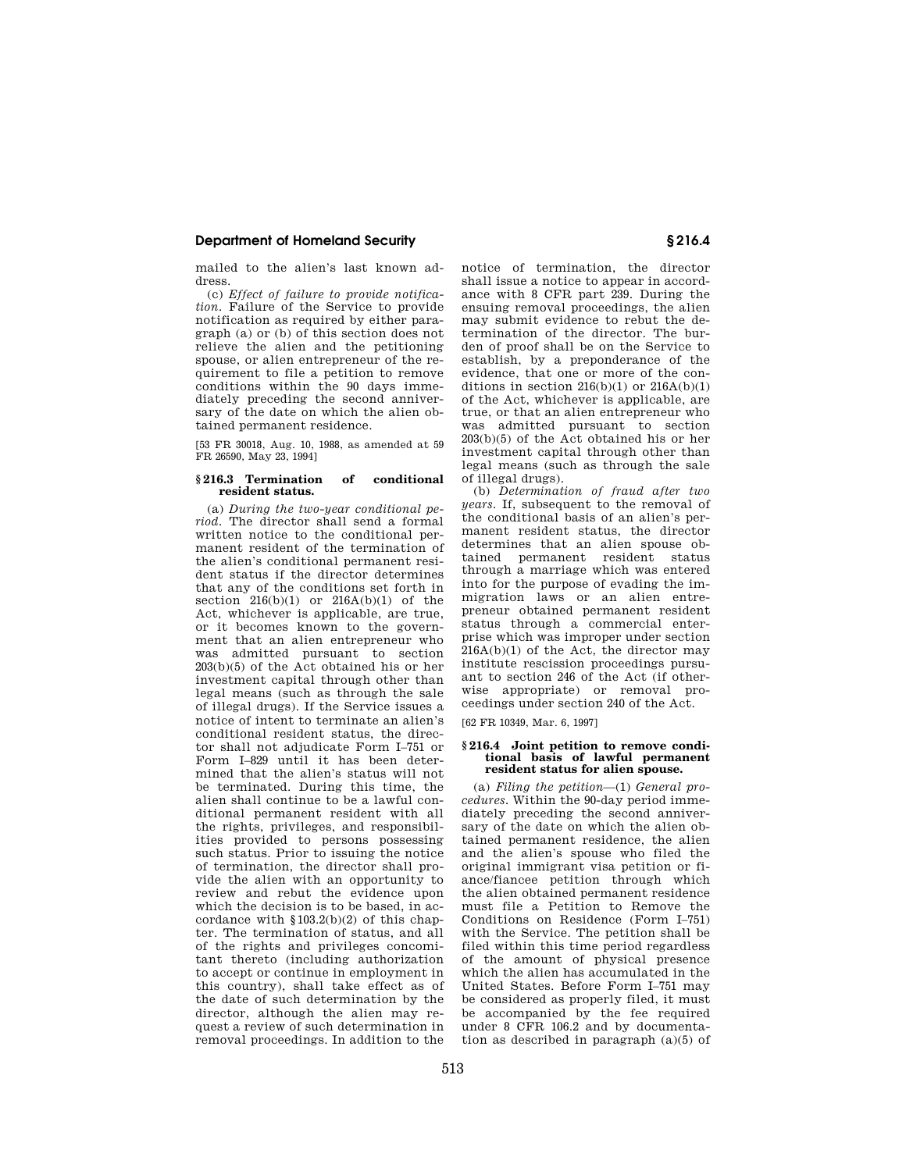mailed to the alien's last known address.

(c) *Effect of failure to provide notification.* Failure of the Service to provide notification as required by either paragraph (a) or (b) of this section does not relieve the alien and the petitioning spouse, or alien entrepreneur of the requirement to file a petition to remove conditions within the 90 days immediately preceding the second anniversary of the date on which the alien obtained permanent residence.

[53 FR 30018, Aug. 10, 1988, as amended at 59 FR 26590, May 23, 1994]

#### **§ 216.3 Termination of conditional resident status.**

(a) *During the two-year conditional period.* The director shall send a formal written notice to the conditional permanent resident of the termination of the alien's conditional permanent resident status if the director determines that any of the conditions set forth in section  $216(b)(1)$  or  $216A(b)(1)$  of the Act, whichever is applicable, are true, or it becomes known to the government that an alien entrepreneur who was admitted pursuant to section 203(b)(5) of the Act obtained his or her investment capital through other than legal means (such as through the sale of illegal drugs). If the Service issues a notice of intent to terminate an alien's conditional resident status, the director shall not adjudicate Form I–751 or Form I–829 until it has been determined that the alien's status will not be terminated. During this time, the alien shall continue to be a lawful conditional permanent resident with all the rights, privileges, and responsibilities provided to persons possessing such status. Prior to issuing the notice of termination, the director shall provide the alien with an opportunity to review and rebut the evidence upon which the decision is to be based, in accordance with §103.2(b)(2) of this chapter. The termination of status, and all of the rights and privileges concomitant thereto (including authorization to accept or continue in employment in this country), shall take effect as of the date of such determination by the director, although the alien may request a review of such determination in removal proceedings. In addition to the

notice of termination, the director shall issue a notice to appear in accordance with 8 CFR part 239. During the ensuing removal proceedings, the alien may submit evidence to rebut the determination of the director. The burden of proof shall be on the Service to establish, by a preponderance of the evidence, that one or more of the conditions in section  $216(b)(1)$  or  $216A(b)(1)$ of the Act, whichever is applicable, are true, or that an alien entrepreneur who was admitted pursuant to section 203(b)(5) of the Act obtained his or her investment capital through other than legal means (such as through the sale of illegal drugs).

(b) *Determination of fraud after two years.* If, subsequent to the removal of the conditional basis of an alien's permanent resident status, the director determines that an alien spouse obtained permanent resident status through a marriage which was entered into for the purpose of evading the immigration laws or an alien entrepreneur obtained permanent resident status through a commercial enterprise which was improper under section 216A(b)(1) of the Act, the director may institute rescission proceedings pursuant to section 246 of the Act (if otherwise appropriate) or removal proceedings under section 240 of the Act.

[62 FR 10349, Mar. 6, 1997]

#### **§ 216.4 Joint petition to remove conditional basis of lawful permanent resident status for alien spouse.**

(a) *Filing the petition*—(1) *General procedures.* Within the 90-day period immediately preceding the second anniversary of the date on which the alien obtained permanent residence, the alien and the alien's spouse who filed the original immigrant visa petition or fiance/fiancee petition through which the alien obtained permanent residence must file a Petition to Remove the Conditions on Residence (Form I–751) with the Service. The petition shall be filed within this time period regardless of the amount of physical presence which the alien has accumulated in the United States. Before Form I–751 may be considered as properly filed, it must be accompanied by the fee required under 8 CFR 106.2 and by documentation as described in paragraph (a)(5) of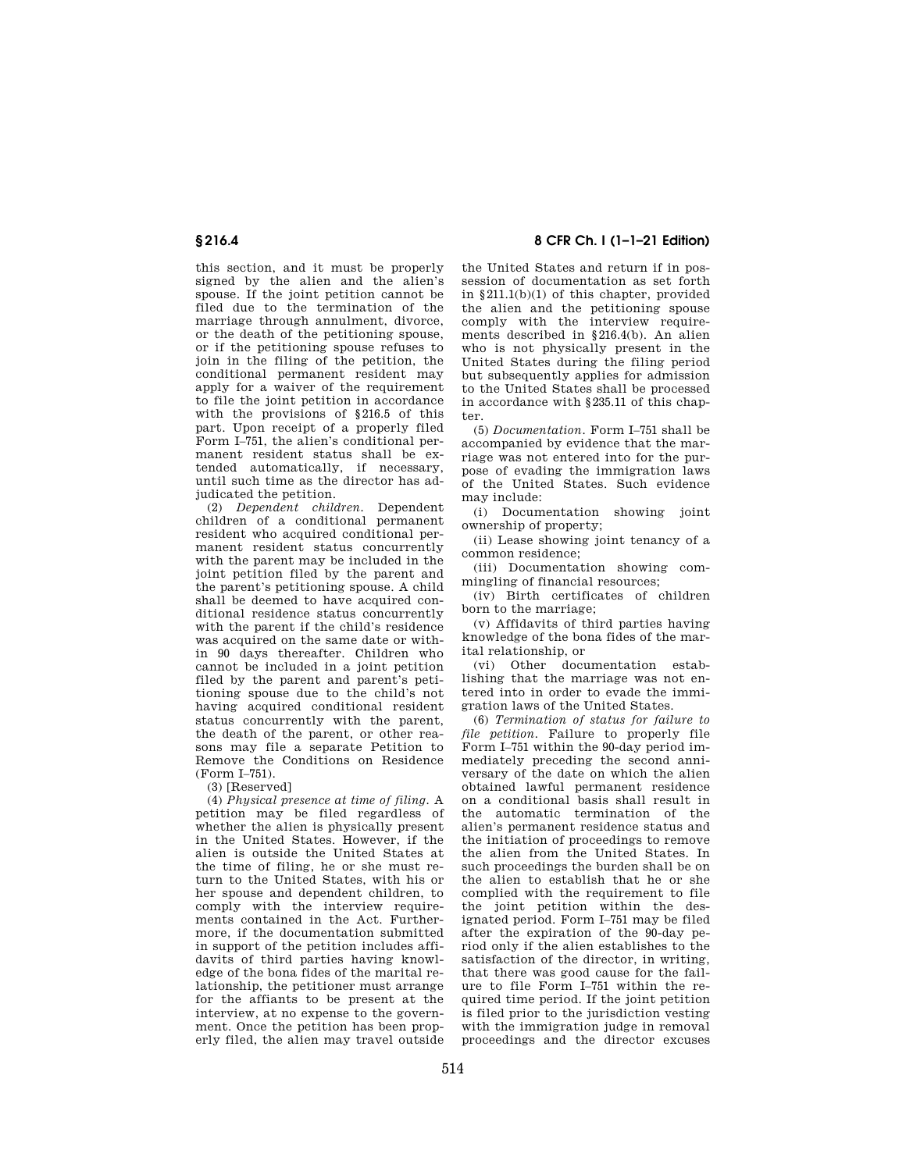this section, and it must be properly signed by the alien and the alien's spouse. If the joint petition cannot be filed due to the termination of the marriage through annulment, divorce, or the death of the petitioning spouse, or if the petitioning spouse refuses to join in the filing of the petition, the conditional permanent resident may apply for a waiver of the requirement to file the joint petition in accordance with the provisions of §216.5 of this part. Upon receipt of a properly filed Form I–751, the alien's conditional permanent resident status shall be extended automatically, if necessary, until such time as the director has adjudicated the petition.

(2) *Dependent children.* Dependent children of a conditional permanent resident who acquired conditional permanent resident status concurrently with the parent may be included in the joint petition filed by the parent and the parent's petitioning spouse. A child shall be deemed to have acquired conditional residence status concurrently with the parent if the child's residence was acquired on the same date or within 90 days thereafter. Children who cannot be included in a joint petition filed by the parent and parent's petitioning spouse due to the child's not having acquired conditional resident status concurrently with the parent, the death of the parent, or other reasons may file a separate Petition to Remove the Conditions on Residence (Form I–751).

(3) [Reserved]

(4) *Physical presence at time of filing.* A petition may be filed regardless of whether the alien is physically present in the United States. However, if the alien is outside the United States at the time of filing, he or she must return to the United States, with his or her spouse and dependent children, to comply with the interview requirements contained in the Act. Furthermore, if the documentation submitted in support of the petition includes affidavits of third parties having knowledge of the bona fides of the marital relationship, the petitioner must arrange for the affiants to be present at the interview, at no expense to the government. Once the petition has been properly filed, the alien may travel outside

# **§ 216.4 8 CFR Ch. I (1–1–21 Edition)**

the United States and return if in possession of documentation as set forth in §211.1(b)(1) of this chapter, provided the alien and the petitioning spouse comply with the interview requirements described in §216.4(b). An alien who is not physically present in the United States during the filing period but subsequently applies for admission to the United States shall be processed in accordance with §235.11 of this chapter.

(5) *Documentation.* Form I–751 shall be accompanied by evidence that the marriage was not entered into for the purpose of evading the immigration laws of the United States. Such evidence may include:

(i) Documentation showing joint ownership of property;

(ii) Lease showing joint tenancy of a common residence;

(iii) Documentation showing commingling of financial resources;

(iv) Birth certificates of children born to the marriage;

(v) Affidavits of third parties having knowledge of the bona fides of the marital relationship, or

(vi) Other documentation establishing that the marriage was not entered into in order to evade the immigration laws of the United States.

(6) *Termination of status for failure to file petition.* Failure to properly file Form I–751 within the 90-day period immediately preceding the second anniversary of the date on which the alien obtained lawful permanent residence on a conditional basis shall result in the automatic termination of the alien's permanent residence status and the initiation of proceedings to remove the alien from the United States. In such proceedings the burden shall be on the alien to establish that he or she complied with the requirement to file the joint petition within the designated period. Form I–751 may be filed after the expiration of the 90-day period only if the alien establishes to the satisfaction of the director, in writing, that there was good cause for the failure to file Form I–751 within the required time period. If the joint petition is filed prior to the jurisdiction vesting with the immigration judge in removal proceedings and the director excuses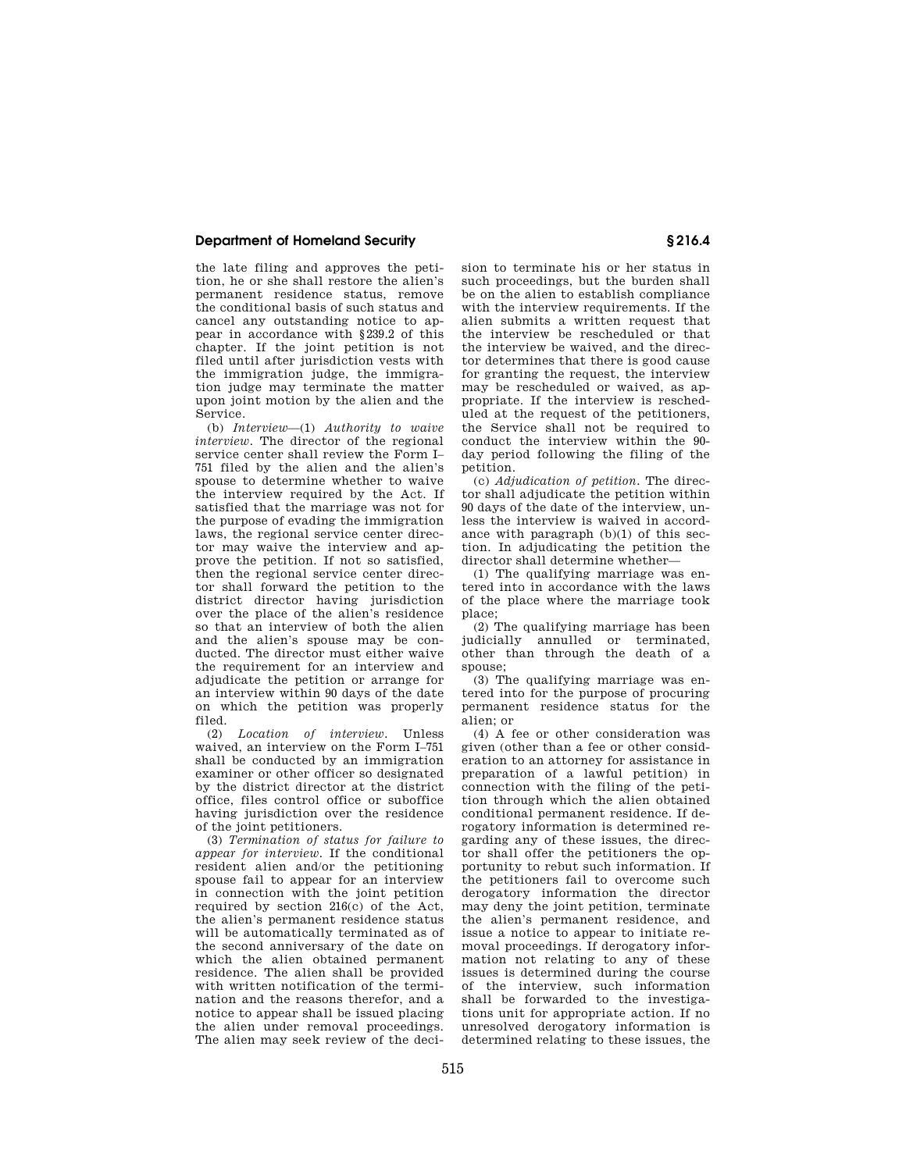the late filing and approves the petition, he or she shall restore the alien's permanent residence status, remove the conditional basis of such status and cancel any outstanding notice to appear in accordance with §239.2 of this chapter. If the joint petition is not filed until after jurisdiction vests with the immigration judge, the immigration judge may terminate the matter upon joint motion by the alien and the Service.

(b) *Interview*—(1) *Authority to waive interview.* The director of the regional service center shall review the Form I-751 filed by the alien and the alien's spouse to determine whether to waive the interview required by the Act. If satisfied that the marriage was not for the purpose of evading the immigration laws, the regional service center director may waive the interview and approve the petition. If not so satisfied, then the regional service center director shall forward the petition to the district director having jurisdiction over the place of the alien's residence so that an interview of both the alien and the alien's spouse may be conducted. The director must either waive the requirement for an interview and adjudicate the petition or arrange for an interview within 90 days of the date on which the petition was properly filed.

(2) *Location of interview.* Unless waived, an interview on the Form I–751 shall be conducted by an immigration examiner or other officer so designated by the district director at the district office, files control office or suboffice having jurisdiction over the residence of the joint petitioners.

(3) *Termination of status for failure to appear for interview.* If the conditional resident alien and/or the petitioning spouse fail to appear for an interview in connection with the joint petition required by section 216(c) of the Act, the alien's permanent residence status will be automatically terminated as of the second anniversary of the date on which the alien obtained permanent residence. The alien shall be provided with written notification of the termination and the reasons therefor, and a notice to appear shall be issued placing the alien under removal proceedings. The alien may seek review of the decision to terminate his or her status in such proceedings, but the burden shall be on the alien to establish compliance with the interview requirements. If the alien submits a written request that the interview be rescheduled or that the interview be waived, and the director determines that there is good cause for granting the request, the interview may be rescheduled or waived, as appropriate. If the interview is rescheduled at the request of the petitioners, the Service shall not be required to conduct the interview within the 90 day period following the filing of the petition.

(c) *Adjudication of petition.* The director shall adjudicate the petition within 90 days of the date of the interview, unless the interview is waived in accordance with paragraph (b)(1) of this section. In adjudicating the petition the director shall determine whether—

(1) The qualifying marriage was entered into in accordance with the laws of the place where the marriage took place;

(2) The qualifying marriage has been judicially annulled or terminated, other than through the death of a spouse;

(3) The qualifying marriage was entered into for the purpose of procuring permanent residence status for the alien; or

(4) A fee or other consideration was given (other than a fee or other consideration to an attorney for assistance in preparation of a lawful petition) in connection with the filing of the petition through which the alien obtained conditional permanent residence. If derogatory information is determined regarding any of these issues, the director shall offer the petitioners the opportunity to rebut such information. If the petitioners fail to overcome such derogatory information the director may deny the joint petition, terminate the alien's permanent residence, and issue a notice to appear to initiate removal proceedings. If derogatory information not relating to any of these issues is determined during the course of the interview, such information shall be forwarded to the investigations unit for appropriate action. If no unresolved derogatory information is determined relating to these issues, the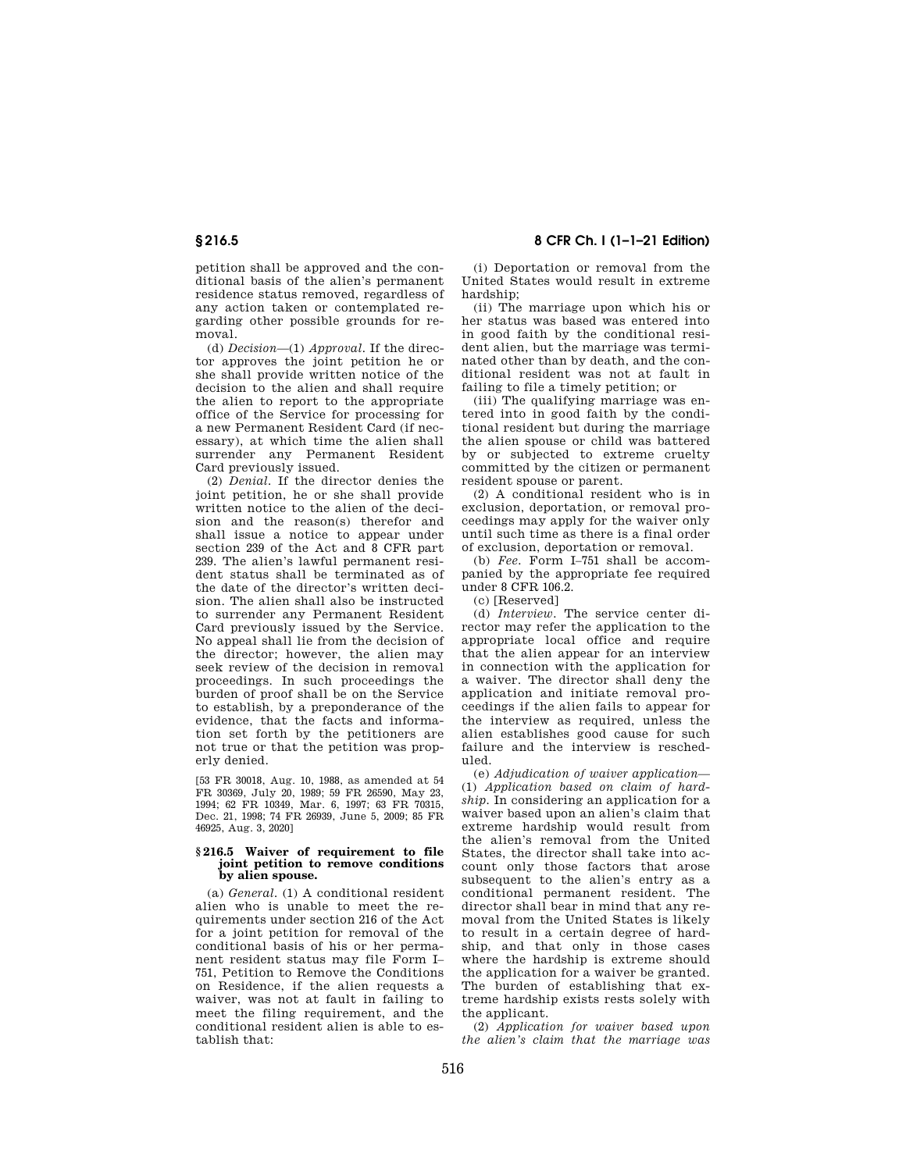petition shall be approved and the conditional basis of the alien's permanent residence status removed, regardless of any action taken or contemplated regarding other possible grounds for removal.

(d) *Decision*—(1) *Approval.* If the director approves the joint petition he or she shall provide written notice of the decision to the alien and shall require the alien to report to the appropriate office of the Service for processing for a new Permanent Resident Card (if necessary), at which time the alien shall surrender any Permanent Resident Card previously issued.

(2) *Denial.* If the director denies the joint petition, he or she shall provide written notice to the alien of the decision and the reason(s) therefor and shall issue a notice to appear under section 239 of the Act and 8 CFR part 239. The alien's lawful permanent resident status shall be terminated as of the date of the director's written decision. The alien shall also be instructed to surrender any Permanent Resident Card previously issued by the Service. No appeal shall lie from the decision of the director; however, the alien may seek review of the decision in removal proceedings. In such proceedings the burden of proof shall be on the Service to establish, by a preponderance of the evidence, that the facts and information set forth by the petitioners are not true or that the petition was properly denied.

[53 FR 30018, Aug. 10, 1988, as amended at 54 FR 30369, July 20, 1989; 59 FR 26590, May 23, 1994; 62 FR 10349, Mar. 6, 1997; 63 FR 70315, Dec. 21, 1998; 74 FR 26939, June 5, 2009; 85 FR 46925, Aug. 3, 2020]

### **§ 216.5 Waiver of requirement to file joint petition to remove conditions by alien spouse.**

(a) *General.* (1) A conditional resident alien who is unable to meet the requirements under section 216 of the Act for a joint petition for removal of the conditional basis of his or her permanent resident status may file Form I– 751, Petition to Remove the Conditions on Residence, if the alien requests a waiver, was not at fault in failing to meet the filing requirement, and the conditional resident alien is able to establish that:

**§ 216.5 8 CFR Ch. I (1–1–21 Edition)** 

(i) Deportation or removal from the United States would result in extreme hardship;

(ii) The marriage upon which his or her status was based was entered into in good faith by the conditional resident alien, but the marriage was terminated other than by death, and the conditional resident was not at fault in failing to file a timely petition; or

(iii) The qualifying marriage was entered into in good faith by the conditional resident but during the marriage the alien spouse or child was battered by or subjected to extreme cruelty committed by the citizen or permanent resident spouse or parent.

(2) A conditional resident who is in exclusion, deportation, or removal proceedings may apply for the waiver only until such time as there is a final order of exclusion, deportation or removal.

(b) *Fee.* Form I–751 shall be accompanied by the appropriate fee required under 8 CFR 106.2.

(c) [Reserved]

(d) *Interview.* The service center director may refer the application to the appropriate local office and require that the alien appear for an interview in connection with the application for a waiver. The director shall deny the application and initiate removal proceedings if the alien fails to appear for the interview as required, unless the alien establishes good cause for such failure and the interview is rescheduled.

(e) *Adjudication of waiver application*— (1) *Application based on claim of hardship.* In considering an application for a waiver based upon an alien's claim that extreme hardship would result from the alien's removal from the United States, the director shall take into account only those factors that arose subsequent to the alien's entry as a conditional permanent resident. The director shall bear in mind that any removal from the United States is likely to result in a certain degree of hardship, and that only in those cases where the hardship is extreme should the application for a waiver be granted. The burden of establishing that extreme hardship exists rests solely with the applicant.

(2) *Application for waiver based upon the alien's claim that the marriage was*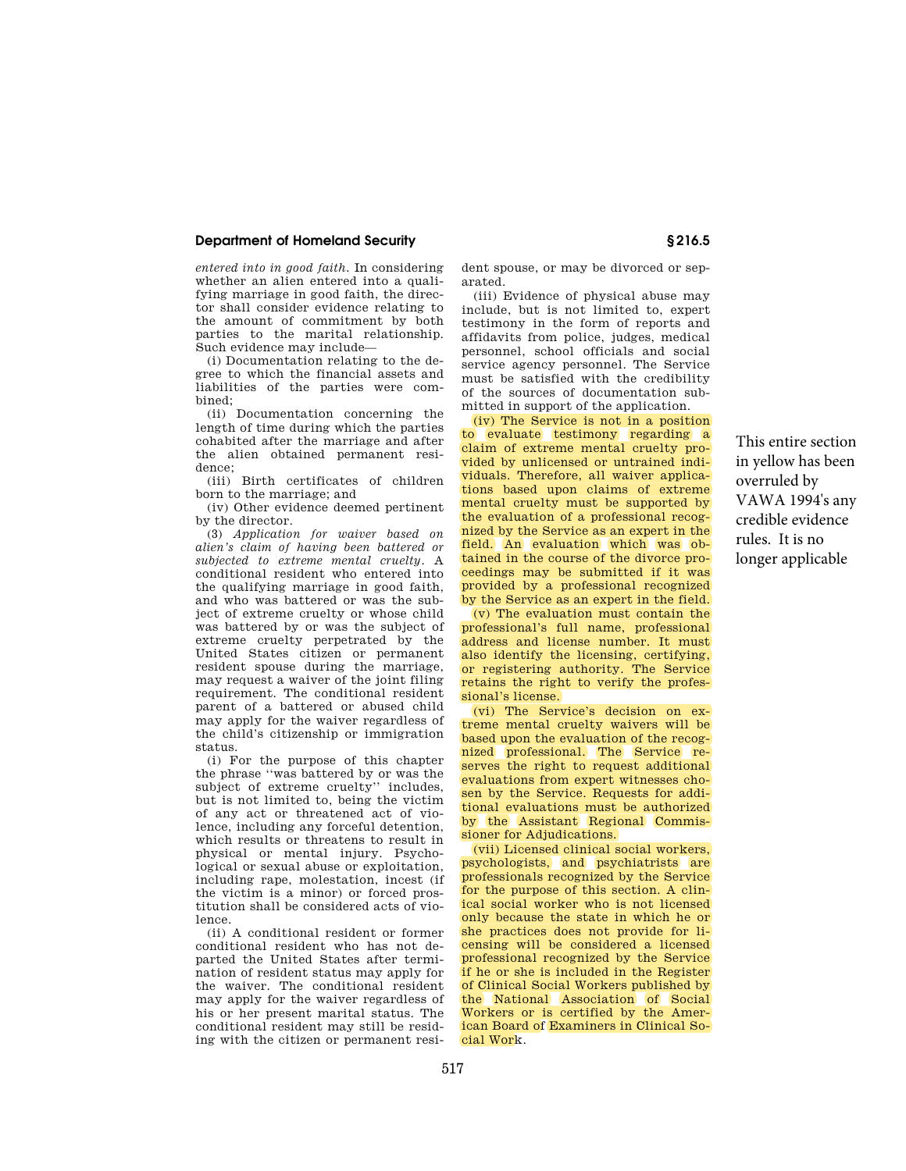*entered into in good faith.* In considering whether an alien entered into a qualifying marriage in good faith, the director shall consider evidence relating to the amount of commitment by both parties to the marital relationship. Such evidence may include—

(i) Documentation relating to the degree to which the financial assets and liabilities of the parties were combined;

(ii) Documentation concerning the length of time during which the parties cohabited after the marriage and after the alien obtained permanent residence;

(iii) Birth certificates of children born to the marriage; and

(iv) Other evidence deemed pertinent by the director.

(3) *Application for waiver based on alien's claim of having been battered or subjected to extreme mental cruelty.* A conditional resident who entered into the qualifying marriage in good faith, and who was battered or was the subject of extreme cruelty or whose child was battered by or was the subject of extreme cruelty perpetrated by the United States citizen or permanent resident spouse during the marriage, may request a waiver of the joint filing requirement. The conditional resident parent of a battered or abused child may apply for the waiver regardless of the child's citizenship or immigration status.

(i) For the purpose of this chapter the phrase ''was battered by or was the subject of extreme cruelty'' includes, but is not limited to, being the victim of any act or threatened act of violence, including any forceful detention, which results or threatens to result in physical or mental injury. Psychological or sexual abuse or exploitation, including rape, molestation, incest (if the victim is a minor) or forced prostitution shall be considered acts of violence.

(ii) A conditional resident or former conditional resident who has not departed the United States after termination of resident status may apply for the waiver. The conditional resident may apply for the waiver regardless of his or her present marital status. The conditional resident may still be residing with the citizen or permanent resident spouse, or may be divorced or separated.

(iii) Evidence of physical abuse may include, but is not limited to, expert testimony in the form of reports and affidavits from police, judges, medical personnel, school officials and social service agency personnel. The Service must be satisfied with the credibility of the sources of documentation submitted in support of the application.

(iv) The Service is not in a position to evaluate testimony regarding a claim of extreme mental cruelty provided by unlicensed or untrained individuals. Therefore, all waiver applications based upon claims of extreme mental cruelty must be supported by the evaluation of a professional recognized by the Service as an expert in the field. An evaluation which was obtained in the course of the divorce proceedings may be submitted if it was provided by a professional recognized by the Service as an expert in the field.

(v) The evaluation must contain the professional's full name, professional address and license number. It must also identify the licensing, certifying, or registering authority. The Service retains the right to verify the professional's license.

(vi) The Service's decision on extreme mental cruelty waivers will be based upon the evaluation of the recognized professional. The Service reserves the right to request additional evaluations from expert witnesses chosen by the Service. Requests for additional evaluations must be authorized by the Assistant Regional Commissioner for Adjudications.

(vii) Licensed clinical social workers, psychologists, and psychiatrists are professionals recognized by the Service for the purpose of this section. A clinical social worker who is not licensed only because the state in which he or she practices does not provide for licensing will be considered a licensed professional recognized by the Service if he or she is included in the Register of Clinical Social Workers published by the National Association of Social Workers or is certified by the American Board of Examiners in Clinical Social Work.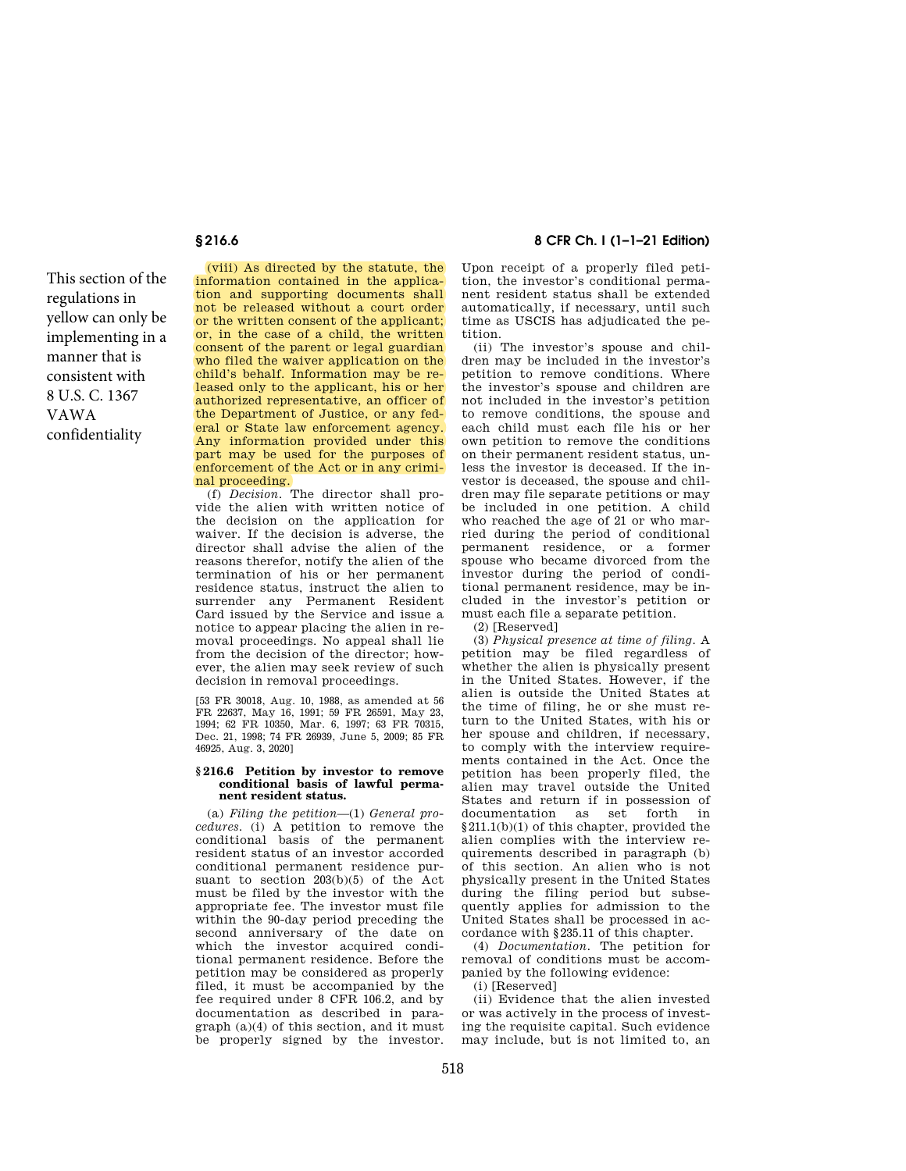This section of the regulations in yellow can only be implementing in a manner that is consistent with 8 U.S. C. 1367 VAWA confidentiality

(viii) As directed by the statute, the information contained in the application and supporting documents shall not be released without a court order or the written consent of the applicant; or, in the case of a child, the written consent of the parent or legal guardian who filed the waiver application on the child's behalf. Information may be released only to the applicant, his or her authorized representative, an officer of the Department of Justice, or any federal or State law enforcement agency. Any information provided under this part may be used for the purposes of enforcement of the Act or in any criminal proceeding.

(f) *Decision.* The director shall provide the alien with written notice of the decision on the application for waiver. If the decision is adverse, the director shall advise the alien of the reasons therefor, notify the alien of the termination of his or her permanent residence status, instruct the alien to surrender any Permanent Resident Card issued by the Service and issue a notice to appear placing the alien in removal proceedings. No appeal shall lie from the decision of the director; however, the alien may seek review of such decision in removal proceedings.

[53 FR 30018, Aug. 10, 1988, as amended at 56 FR 22637, May 16, 1991; 59 FR 26591, May 23, 1994; 62 FR 10350, Mar. 6, 1997; 63 FR 70315, Dec. 21, 1998; 74 FR 26939, June 5, 2009; 85 FR 46925, Aug. 3, 2020]

#### **§ 216.6 Petition by investor to remove conditional basis of lawful permanent resident status.**

(a) *Filing the petition*—(1) *General procedures.* (i) A petition to remove the conditional basis of the permanent resident status of an investor accorded conditional permanent residence pursuant to section  $203(b)(5)$  of the Act must be filed by the investor with the appropriate fee. The investor must file within the 90-day period preceding the second anniversary of the date on which the investor acquired conditional permanent residence. Before the petition may be considered as properly filed, it must be accompanied by the fee required under 8 CFR 106.2, and by documentation as described in paragraph (a)(4) of this section, and it must be properly signed by the investor.

# **§ 216.6 8 CFR Ch. I (1–1–21 Edition)**

Upon receipt of a properly filed petition, the investor's conditional permanent resident status shall be extended automatically, if necessary, until such time as USCIS has adjudicated the petition.

(ii) The investor's spouse and children may be included in the investor's petition to remove conditions. Where the investor's spouse and children are not included in the investor's petition to remove conditions, the spouse and each child must each file his or her own petition to remove the conditions on their permanent resident status, unless the investor is deceased. If the investor is deceased, the spouse and children may file separate petitions or may be included in one petition. A child who reached the age of 21 or who married during the period of conditional permanent residence, or a former spouse who became divorced from the investor during the period of conditional permanent residence, may be included in the investor's petition or must each file a separate petition.

(2) [Reserved]

(3) *Physical presence at time of filing.* A petition may be filed regardless of whether the alien is physically present in the United States. However, if the alien is outside the United States at the time of filing, he or she must return to the United States, with his or her spouse and children, if necessary, to comply with the interview requirements contained in the Act. Once the petition has been properly filed, the alien may travel outside the United States and return if in possession of documentation as set forth in §211.1(b)(1) of this chapter, provided the alien complies with the interview requirements described in paragraph (b) of this section. An alien who is not physically present in the United States during the filing period but subsequently applies for admission to the United States shall be processed in accordance with §235.11 of this chapter.

(4) *Documentation.* The petition for removal of conditions must be accompanied by the following evidence:

(i) [Reserved]

(ii) Evidence that the alien invested or was actively in the process of investing the requisite capital. Such evidence may include, but is not limited to, an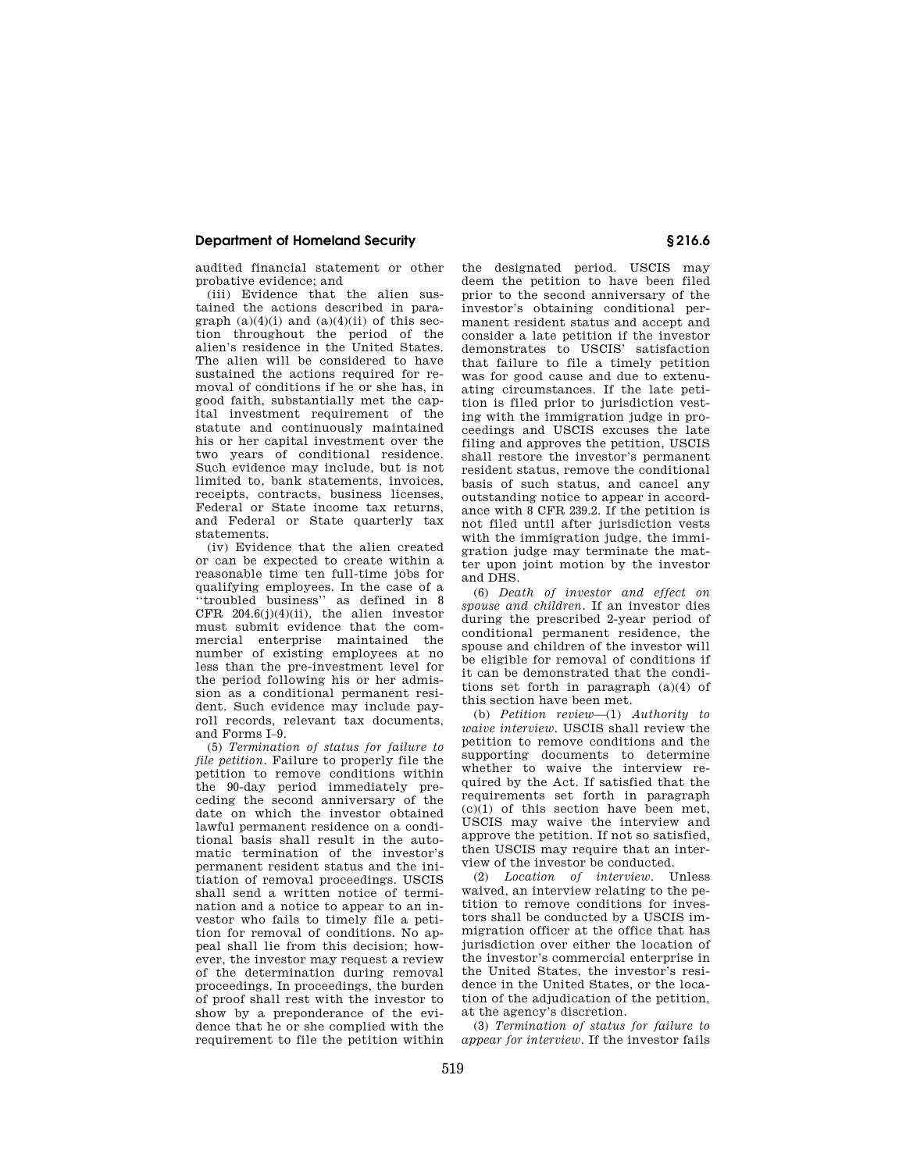audited financial statement or other probative evidence; and

(iii) Evidence that the alien sustained the actions described in paragraph  $(a)(4)(i)$  and  $(a)(4)(ii)$  of this section throughout the period of the alien's residence in the United States. The alien will be considered to have sustained the actions required for removal of conditions if he or she has, in good faith, substantially met the capital investment requirement of the statute and continuously maintained his or her capital investment over the two years of conditional residence. Such evidence may include, but is not limited to, bank statements, invoices, receipts, contracts, business licenses, Federal or State income tax returns, and Federal or State quarterly tax statements.

(iv) Evidence that the alien created or can be expected to create within a reasonable time ten full-time jobs for qualifying employees. In the case of a ''troubled business'' as defined in 8 CFR  $204.6(i)(4)(ii)$ , the alien investor must submit evidence that the commercial enterprise maintained the number of existing employees at no less than the pre-investment level for the period following his or her admission as a conditional permanent resident. Such evidence may include payroll records, relevant tax documents, and Forms I–9.

(5) *Termination of status for failure to file petition.* Failure to properly file the petition to remove conditions within the 90-day period immediately preceding the second anniversary of the date on which the investor obtained lawful permanent residence on a conditional basis shall result in the automatic termination of the investor's permanent resident status and the initiation of removal proceedings. USCIS shall send a written notice of termination and a notice to appear to an investor who fails to timely file a petition for removal of conditions. No appeal shall lie from this decision; however, the investor may request a review of the determination during removal proceedings. In proceedings, the burden of proof shall rest with the investor to show by a preponderance of the evidence that he or she complied with the requirement to file the petition within the designated period. USCIS may deem the petition to have been filed prior to the second anniversary of the investor's obtaining conditional permanent resident status and accept and consider a late petition if the investor demonstrates to USCIS' satisfaction that failure to file a timely petition was for good cause and due to extenuating circumstances. If the late petition is filed prior to jurisdiction vesting with the immigration judge in proceedings and USCIS excuses the late filing and approves the petition, USCIS shall restore the investor's permanent resident status, remove the conditional basis of such status, and cancel any outstanding notice to appear in accordance with 8 CFR 239.2. If the petition is not filed until after jurisdiction vests with the immigration judge, the immigration judge may terminate the matter upon joint motion by the investor and DHS.

(6) *Death of investor and effect on spouse and children.* If an investor dies during the prescribed 2-year period of conditional permanent residence, the spouse and children of the investor will be eligible for removal of conditions if it can be demonstrated that the conditions set forth in paragraph (a)(4) of this section have been met.

(b) *Petition review*—(1) *Authority to waive interview.* USCIS shall review the petition to remove conditions and the supporting documents to determine whether to waive the interview required by the Act. If satisfied that the requirements set forth in paragraph  $(c)(1)$  of this section have been met. USCIS may waive the interview and approve the petition. If not so satisfied, then USCIS may require that an interview of the investor be conducted.

(2) *Location of interview.* Unless waived, an interview relating to the petition to remove conditions for investors shall be conducted by a USCIS immigration officer at the office that has jurisdiction over either the location of the investor's commercial enterprise in the United States, the investor's residence in the United States, or the location of the adjudication of the petition, at the agency's discretion.

(3) *Termination of status for failure to appear for interview.* If the investor fails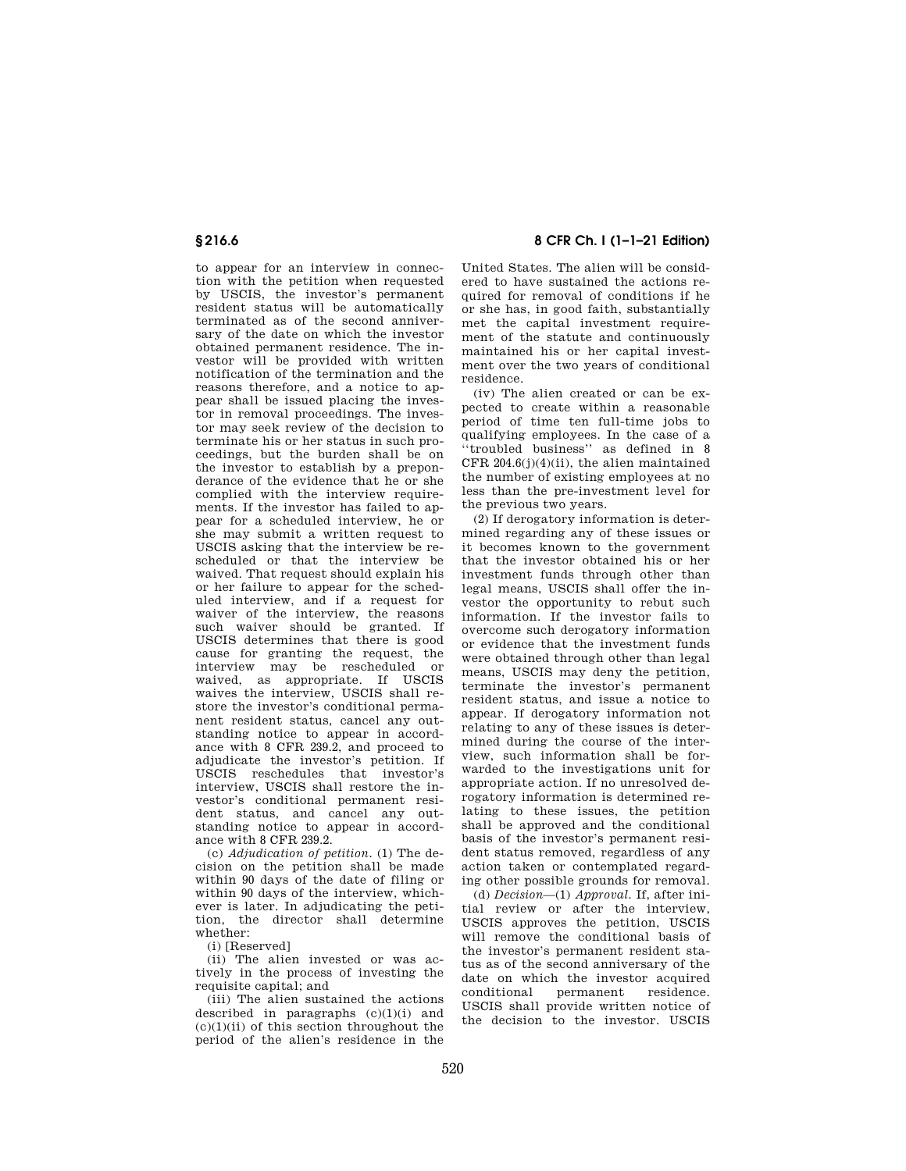to appear for an interview in connection with the petition when requested by USCIS, the investor's permanent resident status will be automatically terminated as of the second anniversary of the date on which the investor obtained permanent residence. The investor will be provided with written notification of the termination and the reasons therefore, and a notice to appear shall be issued placing the investor in removal proceedings. The investor may seek review of the decision to terminate his or her status in such proceedings, but the burden shall be on the investor to establish by a preponderance of the evidence that he or she complied with the interview requirements. If the investor has failed to appear for a scheduled interview, he or she may submit a written request to USCIS asking that the interview be rescheduled or that the interview be waived. That request should explain his or her failure to appear for the scheduled interview, and if a request for waiver of the interview, the reasons such waiver should be granted. If USCIS determines that there is good cause for granting the request, the interview may be rescheduled or waived, as appropriate. If USCIS waives the interview, USCIS shall restore the investor's conditional permanent resident status, cancel any outstanding notice to appear in accordance with 8 CFR 239.2, and proceed to adjudicate the investor's petition. If USCIS reschedules that investor's interview, USCIS shall restore the investor's conditional permanent resident status, and cancel any outstanding notice to appear in accordance with 8 CFR 239.2.

(c) *Adjudication of petition.* (1) The decision on the petition shall be made within 90 days of the date of filing or within 90 days of the interview, whichever is later. In adjudicating the petition, the director shall determine whether:

(i) [Reserved]

(ii) The alien invested or was actively in the process of investing the requisite capital; and

(iii) The alien sustained the actions described in paragraphs  $(c)(1)(i)$  and  $(c)(1)(ii)$  of this section throughout the period of the alien's residence in the

# **§ 216.6 8 CFR Ch. I (1–1–21 Edition)**

United States. The alien will be considered to have sustained the actions required for removal of conditions if he or she has, in good faith, substantially met the capital investment requirement of the statute and continuously maintained his or her capital investment over the two years of conditional residence.

(iv) The alien created or can be expected to create within a reasonable period of time ten full-time jobs to qualifying employees. In the case of a ''troubled business'' as defined in 8 CFR 204.6(j)(4)(ii), the alien maintained the number of existing employees at no less than the pre-investment level for the previous two years.

(2) If derogatory information is determined regarding any of these issues or it becomes known to the government that the investor obtained his or her investment funds through other than legal means, USCIS shall offer the investor the opportunity to rebut such information. If the investor fails to overcome such derogatory information or evidence that the investment funds were obtained through other than legal means, USCIS may deny the petition, terminate the investor's permanent resident status, and issue a notice to appear. If derogatory information not relating to any of these issues is determined during the course of the interview, such information shall be forwarded to the investigations unit for appropriate action. If no unresolved derogatory information is determined relating to these issues, the petition shall be approved and the conditional basis of the investor's permanent resident status removed, regardless of any action taken or contemplated regarding other possible grounds for removal.

(d) *Decision*—(1) *Approval.* If, after initial review or after the interview, USCIS approves the petition, USCIS will remove the conditional basis of the investor's permanent resident status as of the second anniversary of the date on which the investor acquired<br>conditional permanent residence. permanent residence. USCIS shall provide written notice of the decision to the investor. USCIS